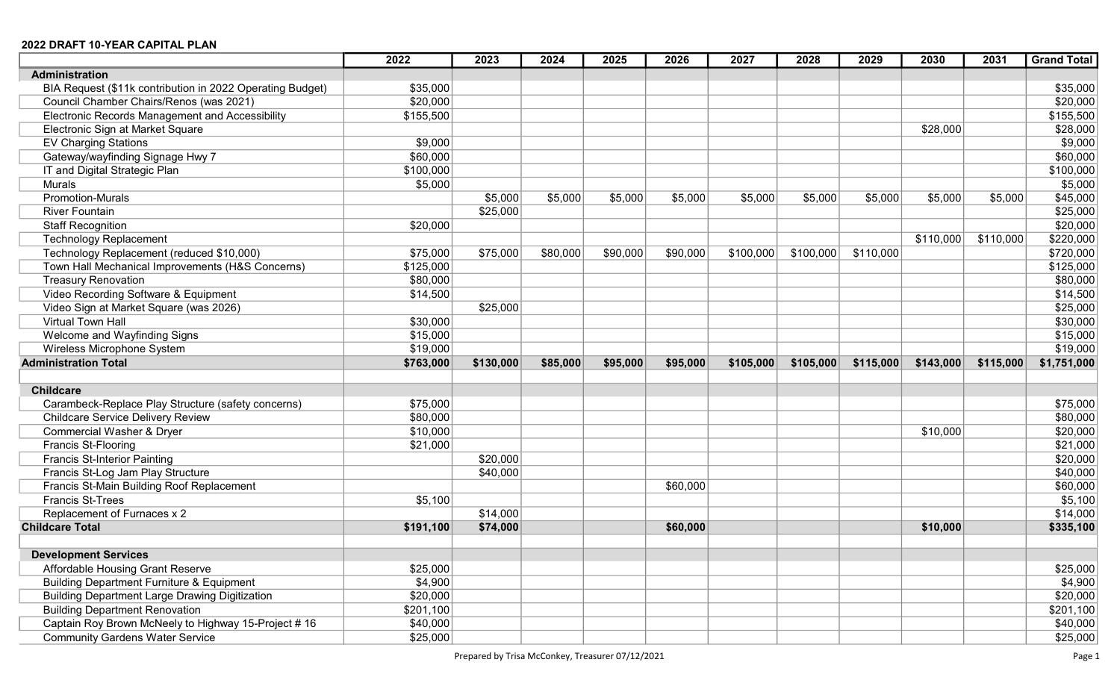|                                                           | 2022      | 2023      | 2024     | 2025     | 2026     | 2027      | 2028      | 2029      | 2030      | 2031      | <b>Grand Total</b> |
|-----------------------------------------------------------|-----------|-----------|----------|----------|----------|-----------|-----------|-----------|-----------|-----------|--------------------|
| <b>Administration</b>                                     |           |           |          |          |          |           |           |           |           |           |                    |
| BIA Request (\$11k contribution in 2022 Operating Budget) | \$35,000  |           |          |          |          |           |           |           |           |           | \$35,000           |
| Council Chamber Chairs/Renos (was 2021)                   | \$20,000  |           |          |          |          |           |           |           |           |           | \$20,000           |
| Electronic Records Management and Accessibility           | \$155,500 |           |          |          |          |           |           |           |           |           | \$155,500          |
| Electronic Sign at Market Square                          |           |           |          |          |          |           |           |           | \$28,000  |           | \$28,000           |
| <b>EV Charging Stations</b>                               | \$9,000   |           |          |          |          |           |           |           |           |           | \$9,000            |
| Gateway/wayfinding Signage Hwy 7                          | \$60,000  |           |          |          |          |           |           |           |           |           | \$60,000           |
| IT and Digital Strategic Plan                             | \$100,000 |           |          |          |          |           |           |           |           |           | \$100,000          |
| <b>Murals</b>                                             | \$5,000   |           |          |          |          |           |           |           |           |           | \$5,000            |
| <b>Promotion-Murals</b>                                   |           | \$5,000   | \$5,000  | \$5,000  | \$5,000  | \$5,000   | \$5,000   | \$5,000   | \$5,000   | \$5,000   | \$45,000           |
| <b>River Fountain</b>                                     |           | \$25,000  |          |          |          |           |           |           |           |           | \$25,000           |
| <b>Staff Recognition</b>                                  | \$20,000  |           |          |          |          |           |           |           |           |           | \$20,000           |
| <b>Technology Replacement</b>                             |           |           |          |          |          |           |           |           | \$110,000 | \$110,000 | \$220,000          |
| Technology Replacement (reduced \$10,000)                 | \$75,000  | \$75,000  | \$80,000 | \$90,000 | \$90,000 | \$100,000 | \$100,000 | \$110,000 |           |           | \$720,000          |
| Town Hall Mechanical Improvements (H&S Concerns)          | \$125,000 |           |          |          |          |           |           |           |           |           | \$125,000          |
| <b>Treasury Renovation</b>                                | \$80,000  |           |          |          |          |           |           |           |           |           | \$80,000           |
| Video Recording Software & Equipment                      | \$14,500  |           |          |          |          |           |           |           |           |           | \$14,500           |
| Video Sign at Market Square (was 2026)                    |           | \$25,000  |          |          |          |           |           |           |           |           | \$25,000           |
| Virtual Town Hall                                         | \$30,000  |           |          |          |          |           |           |           |           |           | \$30,000           |
| Welcome and Wayfinding Signs                              | \$15,000  |           |          |          |          |           |           |           |           |           | \$15,000           |
| Wireless Microphone System                                | \$19,000  |           |          |          |          |           |           |           |           |           | \$19,000           |
| <b>Administration Total</b>                               | \$763,000 | \$130,000 | \$85,000 | \$95,000 | \$95,000 | \$105,000 | \$105,000 | \$115,000 | \$143,000 | \$115,000 | \$1,751,000        |
|                                                           |           |           |          |          |          |           |           |           |           |           |                    |
| <b>Childcare</b>                                          |           |           |          |          |          |           |           |           |           |           |                    |
| Carambeck-Replace Play Structure (safety concerns)        | \$75,000  |           |          |          |          |           |           |           |           |           | \$75,000           |
| <b>Childcare Service Delivery Review</b>                  | \$80,000  |           |          |          |          |           |           |           |           |           | \$80,000           |
| <b>Commercial Washer &amp; Dryer</b>                      | \$10,000  |           |          |          |          |           |           |           | \$10,000  |           | \$20,000           |
| Francis St-Flooring                                       | \$21,000  |           |          |          |          |           |           |           |           |           | \$21,000           |
| <b>Francis St-Interior Painting</b>                       |           | \$20,000  |          |          |          |           |           |           |           |           | \$20,000           |
| Francis St-Log Jam Play Structure                         |           | \$40,000  |          |          |          |           |           |           |           |           | \$40,000           |
| Francis St-Main Building Roof Replacement                 |           |           |          |          | \$60,000 |           |           |           |           |           | \$60,000           |
| <b>Francis St-Trees</b>                                   | \$5,100   |           |          |          |          |           |           |           |           |           | \$5,100            |
| Replacement of Furnaces x 2                               |           | \$14,000  |          |          |          |           |           |           |           |           | \$14,000           |
| <b>Childcare Total</b>                                    | \$191,100 | \$74,000  |          |          | \$60,000 |           |           |           | \$10,000  |           | \$335,100          |
|                                                           |           |           |          |          |          |           |           |           |           |           |                    |
| <b>Development Services</b>                               |           |           |          |          |          |           |           |           |           |           |                    |
| Affordable Housing Grant Reserve                          | \$25,000  |           |          |          |          |           |           |           |           |           | \$25,000           |
| <b>Building Department Furniture &amp; Equipment</b>      | \$4,900   |           |          |          |          |           |           |           |           |           | \$4,900            |
| <b>Building Department Large Drawing Digitization</b>     | \$20,000  |           |          |          |          |           |           |           |           |           | \$20,000           |
| <b>Building Department Renovation</b>                     | \$201,100 |           |          |          |          |           |           |           |           |           | \$201,100          |
| Captain Roy Brown McNeely to Highway 15-Project #16       | \$40,000  |           |          |          |          |           |           |           |           |           | \$40,000           |
| <b>Community Gardens Water Service</b>                    | \$25,000  |           |          |          |          |           |           |           |           |           | \$25,000           |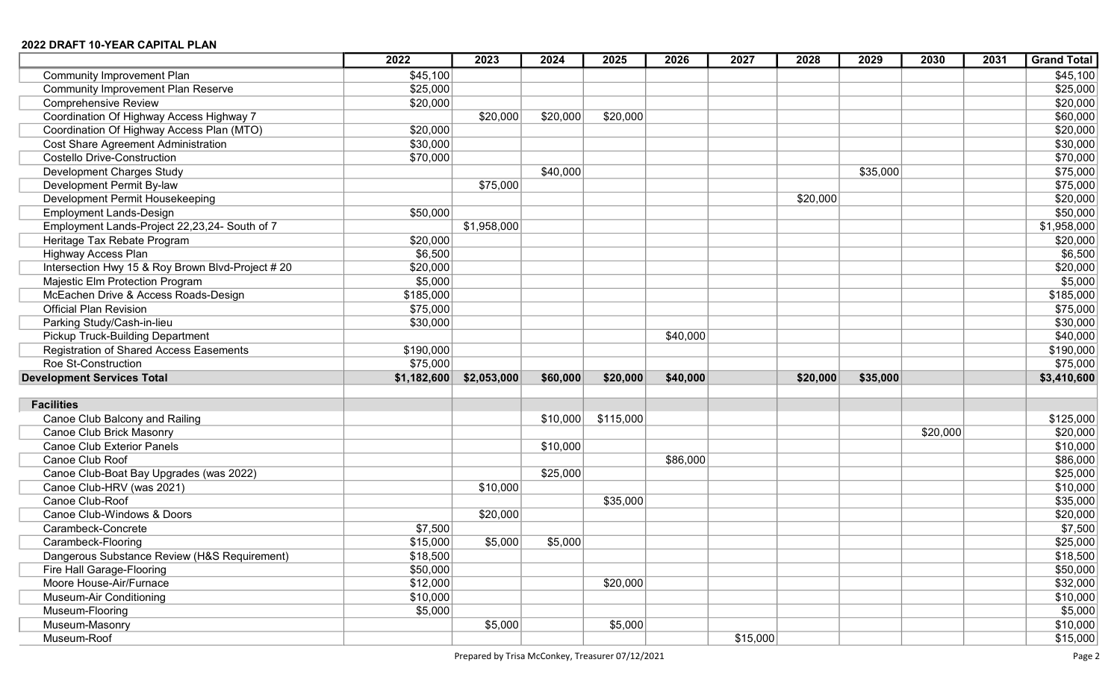|                                                                      | 2022        | 2023        | 2024     | 2025      | 2026     | 2027     | 2028     | 2029     | 2030     | 2031 | <b>Grand Total</b>   |
|----------------------------------------------------------------------|-------------|-------------|----------|-----------|----------|----------|----------|----------|----------|------|----------------------|
| <b>Community Improvement Plan</b>                                    | \$45,100    |             |          |           |          |          |          |          |          |      | \$45,100             |
| <b>Community Improvement Plan Reserve</b>                            | \$25,000    |             |          |           |          |          |          |          |          |      | \$25,000             |
| <b>Comprehensive Review</b>                                          | \$20,000    |             |          |           |          |          |          |          |          |      | \$20,000             |
| Coordination Of Highway Access Highway 7                             |             | \$20,000    | \$20,000 | \$20,000  |          |          |          |          |          |      | \$60,000             |
| Coordination Of Highway Access Plan (MTO)                            | \$20,000    |             |          |           |          |          |          |          |          |      | \$20,000             |
| <b>Cost Share Agreement Administration</b>                           | \$30,000    |             |          |           |          |          |          |          |          |      | \$30,000             |
| <b>Costello Drive-Construction</b>                                   | \$70,000    |             |          |           |          |          |          |          |          |      | \$70,000             |
| Development Charges Study                                            |             |             | \$40,000 |           |          |          |          | \$35,000 |          |      | \$75,000             |
| Development Permit By-law                                            |             | \$75,000    |          |           |          |          |          |          |          |      | \$75,000             |
| Development Permit Housekeeping                                      |             |             |          |           |          |          | \$20,000 |          |          |      | \$20,000             |
| <b>Employment Lands-Design</b>                                       | \$50,000    |             |          |           |          |          |          |          |          |      | \$50,000             |
| Employment Lands-Project 22,23,24- South of 7                        |             | \$1,958,000 |          |           |          |          |          |          |          |      | \$1,958,000          |
| Heritage Tax Rebate Program                                          | \$20,000    |             |          |           |          |          |          |          |          |      | \$20,000             |
| <b>Highway Access Plan</b>                                           | \$6,500     |             |          |           |          |          |          |          |          |      | \$6,500              |
| Intersection Hwy 15 & Roy Brown Blvd-Project # 20                    | \$20,000    |             |          |           |          |          |          |          |          |      | \$20,000             |
| Majestic Elm Protection Program                                      | \$5,000     |             |          |           |          |          |          |          |          |      | \$5,000              |
| McEachen Drive & Access Roads-Design                                 | \$185,000   |             |          |           |          |          |          |          |          |      | \$185,000            |
| <b>Official Plan Revision</b>                                        | \$75,000    |             |          |           |          |          |          |          |          |      | \$75,000             |
| Parking Study/Cash-in-lieu                                           | \$30,000    |             |          |           |          |          |          |          |          |      | \$30,000             |
| Pickup Truck-Building Department                                     |             |             |          |           | \$40,000 |          |          |          |          |      | \$40,000             |
| <b>Registration of Shared Access Easements</b>                       | \$190,000   |             |          |           |          |          |          |          |          |      | \$190,000            |
| Roe St-Construction                                                  | \$75,000    |             |          |           |          |          |          |          |          |      | \$75,000             |
| <b>Development Services Total</b>                                    | \$1,182,600 | \$2,053,000 | \$60,000 | \$20,000  | \$40,000 |          | \$20,000 | \$35,000 |          |      | \$3,410,600          |
|                                                                      |             |             |          |           |          |          |          |          |          |      |                      |
| <b>Facilities</b>                                                    |             |             |          |           |          |          |          |          |          |      |                      |
| Canoe Club Balcony and Railing                                       |             |             | \$10,000 | \$115,000 |          |          |          |          |          |      | \$125,000            |
| Canoe Club Brick Masonry                                             |             |             |          |           |          |          |          |          | \$20,000 |      | \$20,000             |
| <b>Canoe Club Exterior Panels</b>                                    |             |             | \$10,000 |           |          |          |          |          |          |      | \$10,000             |
| Canoe Club Roof                                                      |             |             |          |           | \$86,000 |          |          |          |          |      | \$86,000             |
| Canoe Club-Boat Bay Upgrades (was 2022)<br>Canoe Club-HRV (was 2021) |             |             | \$25,000 |           |          |          |          |          |          |      | \$25,000             |
| Canoe Club-Roof                                                      |             | \$10,000    |          | \$35,000  |          |          |          |          |          |      | \$10,000<br>\$35,000 |
| Canoe Club-Windows & Doors                                           |             | \$20,000    |          |           |          |          |          |          |          |      | \$20,000             |
| Carambeck-Concrete                                                   | \$7,500     |             |          |           |          |          |          |          |          |      | \$7,500              |
| Carambeck-Flooring                                                   | \$15,000    | \$5,000     | \$5,000  |           |          |          |          |          |          |      | \$25,000             |
| Dangerous Substance Review (H&S Requirement)                         | \$18,500    |             |          |           |          |          |          |          |          |      | \$18,500             |
| Fire Hall Garage-Flooring                                            | \$50,000    |             |          |           |          |          |          |          |          |      | \$50,000             |
| Moore House-Air/Furnace                                              | \$12,000    |             |          | \$20,000  |          |          |          |          |          |      | \$32,000             |
| Museum-Air Conditioning                                              | \$10,000    |             |          |           |          |          |          |          |          |      | \$10,000             |
| Museum-Flooring                                                      | \$5,000     |             |          |           |          |          |          |          |          |      | \$5,000              |
| Museum-Masonry                                                       |             | \$5,000     |          | \$5,000   |          |          |          |          |          |      | \$10,000             |
| Museum-Roof                                                          |             |             |          |           |          | \$15,000 |          |          |          |      | \$15,000             |
|                                                                      |             |             |          |           |          |          |          |          |          |      |                      |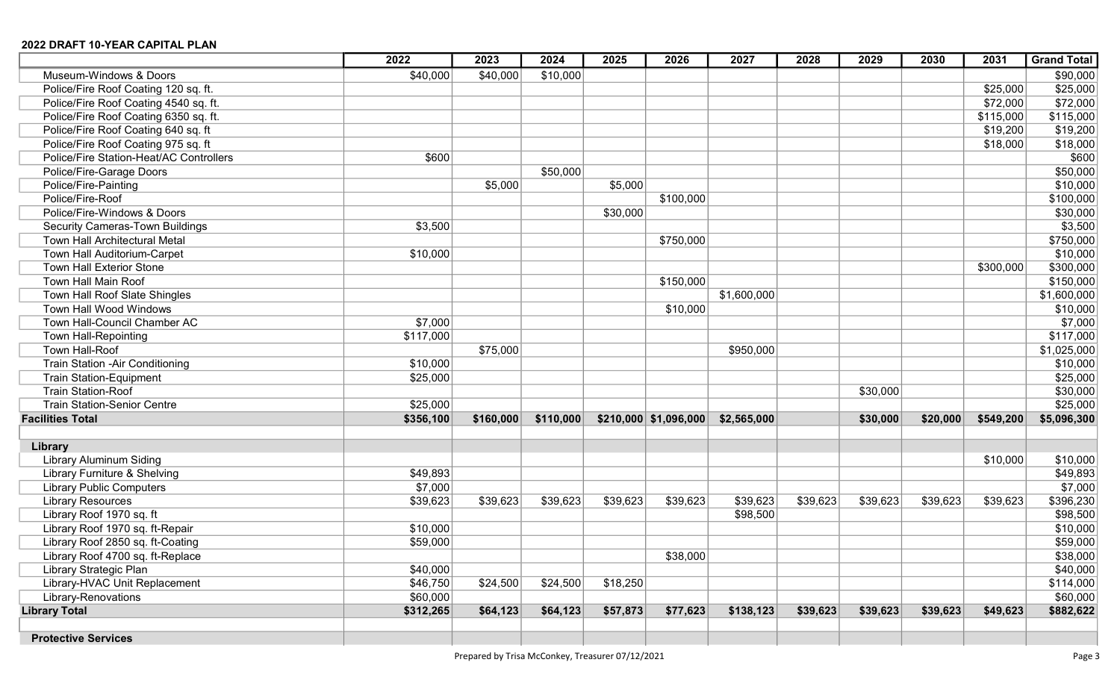|                                         | 2022      | 2023      | 2024      | 2025     | 2026                   | 2027        | 2028     | 2029     | 2030     | 2031      | <b>Grand Total</b> |
|-----------------------------------------|-----------|-----------|-----------|----------|------------------------|-------------|----------|----------|----------|-----------|--------------------|
| Museum-Windows & Doors                  | \$40,000  | \$40,000  | \$10,000  |          |                        |             |          |          |          |           | \$90,000           |
| Police/Fire Roof Coating 120 sq. ft.    |           |           |           |          |                        |             |          |          |          | \$25,000  | \$25,000           |
| Police/Fire Roof Coating 4540 sq. ft.   |           |           |           |          |                        |             |          |          |          | \$72,000  | \$72,000           |
| Police/Fire Roof Coating 6350 sq. ft.   |           |           |           |          |                        |             |          |          |          | \$115,000 | \$115,000          |
| Police/Fire Roof Coating 640 sq. ft     |           |           |           |          |                        |             |          |          |          | \$19,200  | \$19,200           |
| Police/Fire Roof Coating 975 sq. ft     |           |           |           |          |                        |             |          |          |          | \$18,000  | \$18,000           |
| Police/Fire Station-Heat/AC Controllers | \$600     |           |           |          |                        |             |          |          |          |           | \$600              |
| Police/Fire-Garage Doors                |           |           | \$50,000  |          |                        |             |          |          |          |           | \$50,000           |
| Police/Fire-Painting                    |           | \$5,000   |           | \$5,000  |                        |             |          |          |          |           | \$10,000           |
| Police/Fire-Roof                        |           |           |           |          | \$100,000              |             |          |          |          |           | \$100,000          |
| Police/Fire-Windows & Doors             |           |           |           | \$30,000 |                        |             |          |          |          |           | \$30,000           |
| <b>Security Cameras-Town Buildings</b>  | \$3,500   |           |           |          |                        |             |          |          |          |           | \$3,500            |
| Town Hall Architectural Metal           |           |           |           |          | \$750,000              |             |          |          |          |           | \$750,000          |
| Town Hall Auditorium-Carpet             | \$10,000  |           |           |          |                        |             |          |          |          |           | \$10,000           |
| <b>Town Hall Exterior Stone</b>         |           |           |           |          |                        |             |          |          |          | \$300,000 | \$300,000          |
| Town Hall Main Roof                     |           |           |           |          | \$150,000              |             |          |          |          |           | \$150,000          |
| Town Hall Roof Slate Shingles           |           |           |           |          |                        | \$1,600,000 |          |          |          |           | \$1,600,000        |
| Town Hall Wood Windows                  |           |           |           |          | \$10,000               |             |          |          |          |           | \$10,000           |
| Town Hall-Council Chamber AC            | \$7,000   |           |           |          |                        |             |          |          |          |           | \$7,000            |
| Town Hall-Repointing                    | \$117,000 |           |           |          |                        |             |          |          |          |           | \$117,000          |
| Town Hall-Roof                          |           | \$75,000  |           |          |                        | \$950,000   |          |          |          |           | \$1,025,000        |
| <b>Train Station -Air Conditioning</b>  | \$10,000  |           |           |          |                        |             |          |          |          |           | \$10,000           |
| <b>Train Station-Equipment</b>          | \$25,000  |           |           |          |                        |             |          |          |          |           | \$25,000           |
| <b>Train Station-Roof</b>               |           |           |           |          |                        |             |          | \$30,000 |          |           | \$30,000           |
| <b>Train Station-Senior Centre</b>      | \$25,000  |           |           |          |                        |             |          |          |          |           | \$25,000           |
| <b>Facilities Total</b>                 | \$356,100 | \$160,000 | \$110,000 |          | $$210,000$ \$1,096,000 | \$2,565,000 |          | \$30,000 | \$20,000 | \$549,200 | \$5,096,300        |
| Library                                 |           |           |           |          |                        |             |          |          |          |           |                    |
| <b>Library Aluminum Siding</b>          |           |           |           |          |                        |             |          |          |          | \$10,000  | \$10,000           |
| Library Furniture & Shelving            | \$49,893  |           |           |          |                        |             |          |          |          |           | \$49,893           |
| <b>Library Public Computers</b>         | \$7,000   |           |           |          |                        |             |          |          |          |           | \$7,000            |
| <b>Library Resources</b>                | \$39,623  | \$39,623  | \$39,623  | \$39,623 | \$39,623               | \$39,623    | \$39,623 | \$39,623 | \$39,623 | \$39,623  | \$396,230          |
| Library Roof 1970 sq. ft                |           |           |           |          |                        | \$98,500    |          |          |          |           | \$98,500           |
| Library Roof 1970 sq. ft-Repair         | \$10,000  |           |           |          |                        |             |          |          |          |           | \$10,000           |
| Library Roof 2850 sq. ft-Coating        | \$59,000  |           |           |          |                        |             |          |          |          |           | \$59,000           |
| Library Roof 4700 sq. ft-Replace        |           |           |           |          | \$38,000               |             |          |          |          |           | \$38,000           |
| Library Strategic Plan                  | \$40,000  |           |           |          |                        |             |          |          |          |           | \$40,000           |
| Library-HVAC Unit Replacement           | \$46,750  | \$24,500  | \$24,500  | \$18,250 |                        |             |          |          |          |           | \$114,000          |
| Library-Renovations                     | \$60,000  |           |           |          |                        |             |          |          |          |           | \$60,000           |
| <b>Library Total</b>                    | \$312,265 | \$64,123  | \$64,123  | \$57,873 | \$77,623               | \$138,123   | \$39,623 | \$39,623 | \$39,623 | \$49,623  | \$882,622          |
|                                         |           |           |           |          |                        |             |          |          |          |           |                    |
| <b>Protective Services</b>              |           |           |           |          |                        |             |          |          |          |           |                    |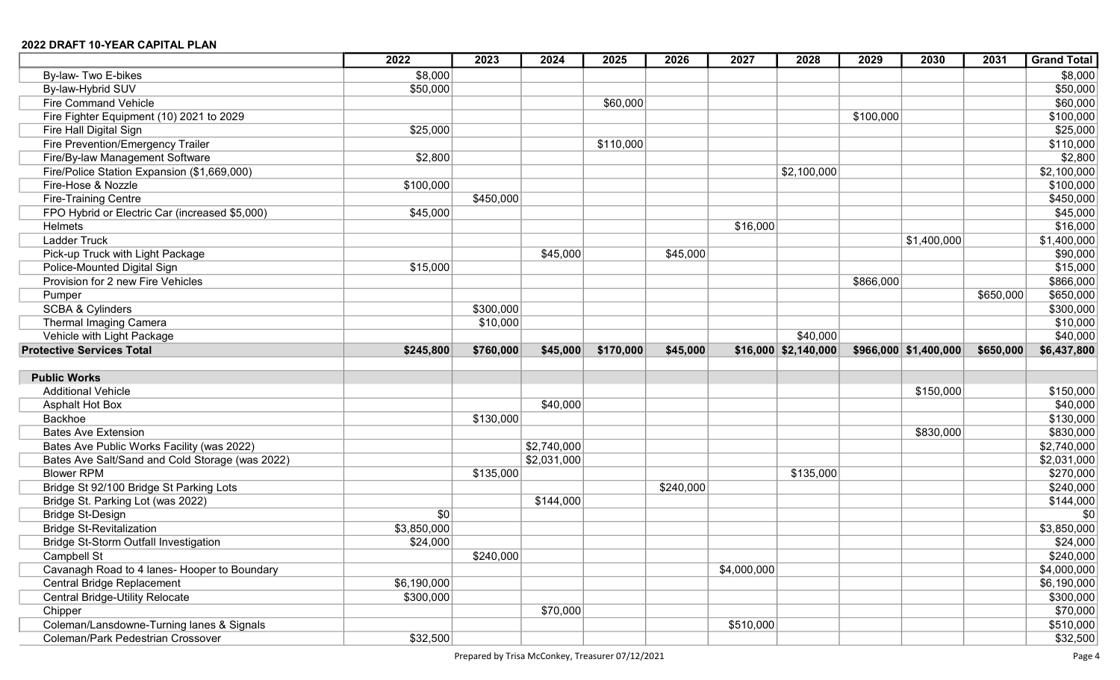|                                                 | 2022        | 2023      | 2024        | 2025      | 2026      | 2027        | 2028                      | 2029      | 2030                     | 2031      | <b>Grand Total</b> |
|-------------------------------------------------|-------------|-----------|-------------|-----------|-----------|-------------|---------------------------|-----------|--------------------------|-----------|--------------------|
| By-law- Two E-bikes                             | \$8,000     |           |             |           |           |             |                           |           |                          |           | \$8,000            |
| By-law-Hybrid SUV                               | \$50,000    |           |             |           |           |             |                           |           |                          |           | \$50,000           |
| <b>Fire Command Vehicle</b>                     |             |           |             | \$60,000  |           |             |                           |           |                          |           | \$60,000           |
| Fire Fighter Equipment (10) 2021 to 2029        |             |           |             |           |           |             |                           | \$100,000 |                          |           | \$100,000          |
| Fire Hall Digital Sign                          | \$25,000    |           |             |           |           |             |                           |           |                          |           | \$25,000           |
| Fire Prevention/Emergency Trailer               |             |           |             | \$110,000 |           |             |                           |           |                          |           | \$110,000          |
| Fire/By-law Management Software                 | \$2,800     |           |             |           |           |             |                           |           |                          |           | \$2,800            |
| Fire/Police Station Expansion (\$1,669,000)     |             |           |             |           |           |             | \$2,100,000               |           |                          |           | \$2,100,000        |
| Fire-Hose & Nozzle                              | \$100,000   |           |             |           |           |             |                           |           |                          |           | \$100,000          |
| <b>Fire-Training Centre</b>                     |             | \$450,000 |             |           |           |             |                           |           |                          |           | \$450,000          |
| FPO Hybrid or Electric Car (increased \$5,000)  | \$45,000    |           |             |           |           |             |                           |           |                          |           | \$45,000           |
| Helmets                                         |             |           |             |           |           | \$16,000    |                           |           |                          |           | \$16,000           |
| <b>Ladder Truck</b>                             |             |           |             |           |           |             |                           |           | \$1,400,000              |           | \$1,400,000        |
| Pick-up Truck with Light Package                |             |           | \$45,000    |           | \$45,000  |             |                           |           |                          |           | \$90,000           |
| Police-Mounted Digital Sign                     | \$15,000    |           |             |           |           |             |                           |           |                          |           | \$15,000           |
| Provision for 2 new Fire Vehicles               |             |           |             |           |           |             |                           | \$866,000 |                          |           | \$866,000          |
| Pumper                                          |             |           |             |           |           |             |                           |           |                          | \$650,000 | \$650,000          |
| <b>SCBA &amp; Cylinders</b>                     |             | \$300,000 |             |           |           |             |                           |           |                          |           | \$300,000          |
| Thermal Imaging Camera                          |             | \$10,000  |             |           |           |             |                           |           |                          |           | \$10,000           |
| Vehicle with Light Package                      |             |           |             |           |           |             | \$40,000                  |           |                          |           | \$40,000           |
| <b>Protective Services Total</b>                | \$245,800   | \$760,000 | \$45,000    | \$170,000 | \$45,000  |             | $$16,000 \mid $2,140,000$ |           | $$966,000 \; $1,400,000$ | \$650,000 | \$6,437,800        |
|                                                 |             |           |             |           |           |             |                           |           |                          |           |                    |
| <b>Public Works</b>                             |             |           |             |           |           |             |                           |           |                          |           |                    |
| <b>Additional Vehicle</b>                       |             |           |             |           |           |             |                           |           | \$150,000                |           | \$150,000          |
| <b>Asphalt Hot Box</b>                          |             |           | \$40,000    |           |           |             |                           |           |                          |           | \$40,000           |
| Backhoe                                         |             | \$130,000 |             |           |           |             |                           |           |                          |           | \$130,000          |
| <b>Bates Ave Extension</b>                      |             |           |             |           |           |             |                           |           | \$830,000                |           | \$830,000          |
| Bates Ave Public Works Facility (was 2022)      |             |           | \$2,740,000 |           |           |             |                           |           |                          |           | \$2,740,000        |
| Bates Ave Salt/Sand and Cold Storage (was 2022) |             |           | \$2,031,000 |           |           |             |                           |           |                          |           | \$2,031,000        |
| <b>Blower RPM</b>                               |             | \$135,000 |             |           |           |             | \$135,000                 |           |                          |           | \$270,000          |
| Bridge St 92/100 Bridge St Parking Lots         |             |           |             |           | \$240,000 |             |                           |           |                          |           | \$240,000          |
| Bridge St. Parking Lot (was 2022)               |             |           | \$144,000   |           |           |             |                           |           |                          |           | \$144,000          |
| <b>Bridge St-Design</b>                         | \$0         |           |             |           |           |             |                           |           |                          |           | \$0                |
| <b>Bridge St-Revitalization</b>                 | \$3,850,000 |           |             |           |           |             |                           |           |                          |           | \$3,850,000        |
| <b>Bridge St-Storm Outfall Investigation</b>    | \$24,000    |           |             |           |           |             |                           |           |                          |           | \$24,000           |
| Campbell St                                     |             | \$240,000 |             |           |           |             |                           |           |                          |           | \$240,000          |
| Cavanagh Road to 4 lanes- Hooper to Boundary    |             |           |             |           |           | \$4,000,000 |                           |           |                          |           | \$4,000,000        |
| Central Bridge Replacement                      | \$6,190,000 |           |             |           |           |             |                           |           |                          |           | \$6,190,000        |
| <b>Central Bridge-Utility Relocate</b>          | \$300,000   |           |             |           |           |             |                           |           |                          |           | \$300,000          |
| Chipper                                         |             |           | \$70,000    |           |           |             |                           |           |                          |           | \$70,000           |
| Coleman/Lansdowne-Turning lanes & Signals       |             |           |             |           |           | \$510,000   |                           |           |                          |           | \$510,000          |
| Coleman/Park Pedestrian Crossover               | \$32,500    |           |             |           |           |             |                           |           |                          |           | \$32,500           |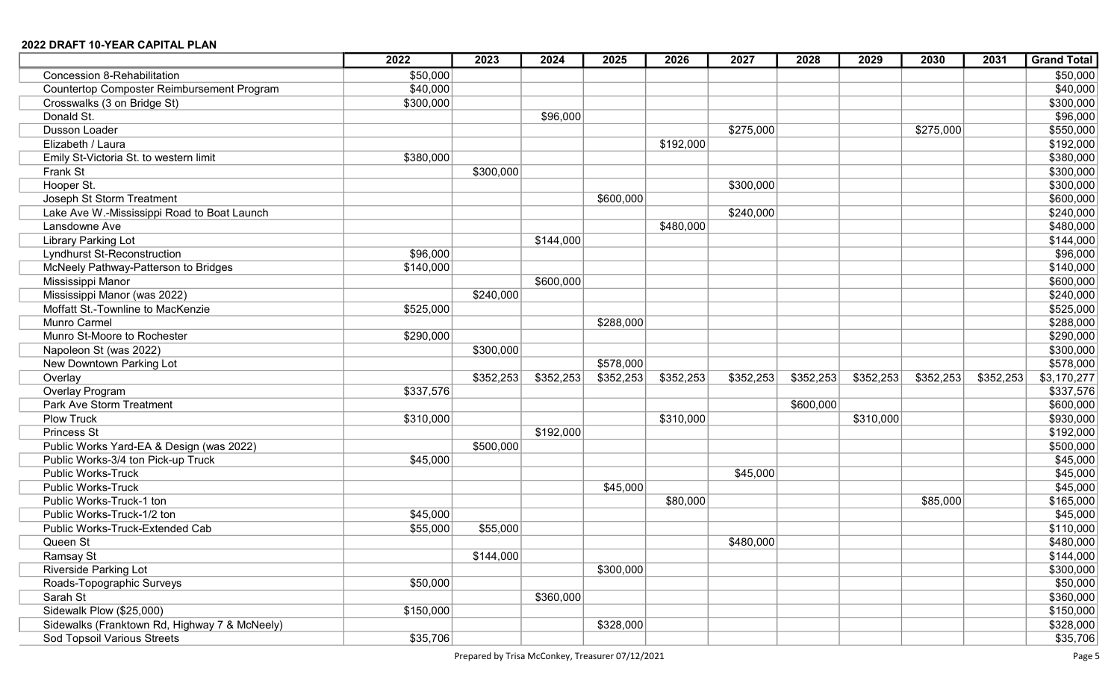|                                               | 2022      | 2023      | 2024      | 2025      | 2026      | 2027      | 2028      | 2029      | 2030      | 2031      | <b>Grand Total</b> |
|-----------------------------------------------|-----------|-----------|-----------|-----------|-----------|-----------|-----------|-----------|-----------|-----------|--------------------|
| Concession 8-Rehabilitation                   | \$50,000  |           |           |           |           |           |           |           |           |           | \$50,000           |
| Countertop Composter Reimbursement Program    | \$40,000  |           |           |           |           |           |           |           |           |           | \$40,000           |
| Crosswalks (3 on Bridge St)                   | \$300,000 |           |           |           |           |           |           |           |           |           | \$300,000          |
| Donald St.                                    |           |           | \$96,000  |           |           |           |           |           |           |           | \$96,000           |
| Dusson Loader                                 |           |           |           |           |           | \$275,000 |           |           | \$275,000 |           | \$550,000          |
| Elizabeth / Laura                             |           |           |           |           | \$192,000 |           |           |           |           |           | \$192,000          |
| Emily St-Victoria St. to western limit        | \$380,000 |           |           |           |           |           |           |           |           |           | \$380,000          |
| Frank St                                      |           | \$300,000 |           |           |           |           |           |           |           |           | \$300,000          |
| Hooper St.                                    |           |           |           |           |           | \$300,000 |           |           |           |           | \$300,000          |
| Joseph St Storm Treatment                     |           |           |           | \$600,000 |           |           |           |           |           |           | \$600,000          |
| Lake Ave W.-Mississippi Road to Boat Launch   |           |           |           |           |           | \$240,000 |           |           |           |           | \$240,000          |
| Lansdowne Ave                                 |           |           |           |           | \$480,000 |           |           |           |           |           | \$480,000          |
| Library Parking Lot                           |           |           | \$144,000 |           |           |           |           |           |           |           | \$144,000          |
| <b>Lyndhurst St-Reconstruction</b>            | \$96,000  |           |           |           |           |           |           |           |           |           | \$96,000           |
| McNeely Pathway-Patterson to Bridges          | \$140,000 |           |           |           |           |           |           |           |           |           | \$140,000          |
| Mississippi Manor                             |           |           | \$600,000 |           |           |           |           |           |           |           | \$600,000          |
| Mississippi Manor (was 2022)                  |           | \$240,000 |           |           |           |           |           |           |           |           | \$240,000          |
| Moffatt St.-Townline to MacKenzie             | \$525,000 |           |           |           |           |           |           |           |           |           | \$525,000          |
| <b>Munro Carmel</b>                           |           |           |           | \$288,000 |           |           |           |           |           |           | \$288,000          |
| Munro St-Moore to Rochester                   | \$290,000 |           |           |           |           |           |           |           |           |           | \$290,000          |
| Napoleon St (was 2022)                        |           | \$300,000 |           |           |           |           |           |           |           |           | \$300,000          |
| New Downtown Parking Lot                      |           |           |           | \$578,000 |           |           |           |           |           |           | \$578,000          |
| Overlay                                       |           | \$352,253 | \$352,253 | \$352,253 | \$352,253 | \$352,253 | \$352,253 | \$352,253 | \$352,253 | \$352,253 | \$3,170,277        |
| Overlay Program                               | \$337,576 |           |           |           |           |           |           |           |           |           | \$337,576          |
| Park Ave Storm Treatment                      |           |           |           |           |           |           | \$600,000 |           |           |           | \$600,000          |
| <b>Plow Truck</b>                             | \$310,000 |           |           |           | \$310,000 |           |           | \$310,000 |           |           | \$930,000          |
| Princess St                                   |           |           | \$192,000 |           |           |           |           |           |           |           | \$192,000          |
| Public Works Yard-EA & Design (was 2022)      |           | \$500,000 |           |           |           |           |           |           |           |           | \$500,000          |
| Public Works-3/4 ton Pick-up Truck            | \$45,000  |           |           |           |           |           |           |           |           |           | \$45,000           |
| <b>Public Works-Truck</b>                     |           |           |           |           |           | \$45,000  |           |           |           |           | \$45,000           |
| <b>Public Works-Truck</b>                     |           |           |           | \$45,000  |           |           |           |           |           |           | \$45,000           |
| Public Works-Truck-1 ton                      |           |           |           |           | \$80,000  |           |           |           | \$85,000  |           | \$165,000          |
| Public Works-Truck-1/2 ton                    | \$45,000  |           |           |           |           |           |           |           |           |           | \$45,000           |
| Public Works-Truck-Extended Cab               | \$55,000  | \$55,000  |           |           |           |           |           |           |           |           | \$110,000          |
| Queen St                                      |           |           |           |           |           | \$480,000 |           |           |           |           | \$480,000          |
| Ramsay St                                     |           | \$144,000 |           |           |           |           |           |           |           |           | \$144,000          |
| <b>Riverside Parking Lot</b>                  |           |           |           | \$300,000 |           |           |           |           |           |           | \$300,000          |
| Roads-Topographic Surveys                     | \$50,000  |           |           |           |           |           |           |           |           |           | \$50,000           |
| Sarah St                                      |           |           | \$360,000 |           |           |           |           |           |           |           | \$360,000          |
| Sidewalk Plow (\$25,000)                      | \$150,000 |           |           |           |           |           |           |           |           |           | \$150,000          |
| Sidewalks (Franktown Rd, Highway 7 & McNeely) |           |           |           | \$328,000 |           |           |           |           |           |           | \$328,000          |
| <b>Sod Topsoil Various Streets</b>            | \$35,706  |           |           |           |           |           |           |           |           |           | \$35,706           |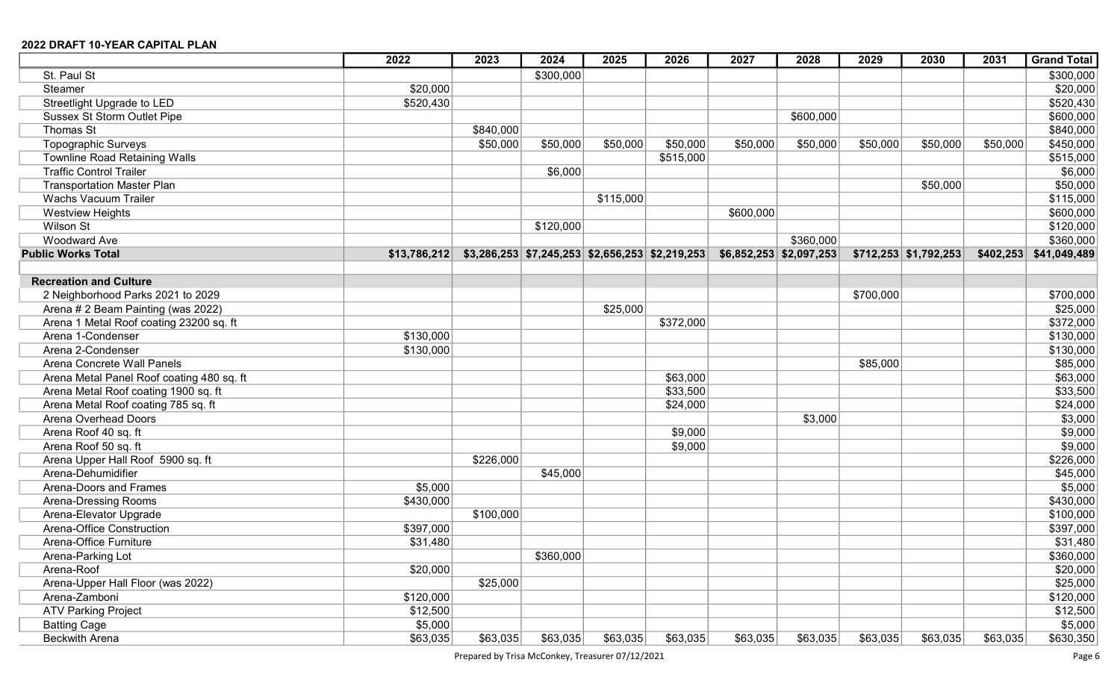|                                           | 2022         | 2023      | 2024      | 2025      | 2026                                                | 2027      | 2028                      | 2029      | 2030                    | 2031      | <b>Grand Total</b> |
|-------------------------------------------|--------------|-----------|-----------|-----------|-----------------------------------------------------|-----------|---------------------------|-----------|-------------------------|-----------|--------------------|
| St. Paul St                               |              |           | \$300,000 |           |                                                     |           |                           |           |                         |           | \$300,000          |
| Steamer                                   | \$20,000     |           |           |           |                                                     |           |                           |           |                         |           | \$20,000           |
| Streetlight Upgrade to LED                | \$520,430    |           |           |           |                                                     |           |                           |           |                         |           | \$520,430          |
| <b>Sussex St Storm Outlet Pipe</b>        |              |           |           |           |                                                     |           | \$600,000                 |           |                         |           | \$600,000          |
| Thomas St                                 |              | \$840,000 |           |           |                                                     |           |                           |           |                         |           | \$840,000          |
| Topographic Surveys                       |              | \$50,000  | \$50,000  | \$50,000  | \$50,000                                            | \$50,000  | \$50,000                  | \$50,000  | \$50,000                | \$50,000  | \$450,000          |
| <b>Townline Road Retaining Walls</b>      |              |           |           |           | \$515,000                                           |           |                           |           |                         |           | \$515,000          |
| <b>Traffic Control Trailer</b>            |              |           | \$6,000   |           |                                                     |           |                           |           |                         |           | \$6,000            |
| <b>Transportation Master Plan</b>         |              |           |           |           |                                                     |           |                           |           | \$50,000                |           | \$50,000           |
| <b>Wachs Vacuum Trailer</b>               |              |           |           | \$115,000 |                                                     |           |                           |           |                         |           | \$115,000          |
| <b>Westview Heights</b>                   |              |           |           |           |                                                     | \$600,000 |                           |           |                         |           | \$600,000          |
| Wilson St                                 |              |           | \$120,000 |           |                                                     |           |                           |           |                         |           | \$120,000          |
| <b>Woodward Ave</b>                       |              |           |           |           |                                                     |           | \$360,000                 |           |                         |           | \$360,000          |
| <b>Public Works Total</b>                 | \$13,786,212 |           |           |           | $$3,286,253$ $$7,245,253$ $$2,656,253$ $$2,219,253$ |           | $$6,852,253$ $$2,097,253$ |           | $$712,253$ $$1,792,253$ | \$402,253 | \$41,049,489       |
|                                           |              |           |           |           |                                                     |           |                           |           |                         |           |                    |
| <b>Recreation and Culture</b>             |              |           |           |           |                                                     |           |                           |           |                         |           |                    |
| 2 Neighborhood Parks 2021 to 2029         |              |           |           |           |                                                     |           |                           | \$700,000 |                         |           | \$700,000          |
| Arena # 2 Beam Painting (was 2022)        |              |           |           | \$25,000  |                                                     |           |                           |           |                         |           | \$25,000           |
| Arena 1 Metal Roof coating 23200 sq. ft   |              |           |           |           | \$372,000                                           |           |                           |           |                         |           | \$372,000          |
| Arena 1-Condenser                         | \$130,000    |           |           |           |                                                     |           |                           |           |                         |           | \$130,000          |
| Arena 2-Condenser                         | \$130,000    |           |           |           |                                                     |           |                           |           |                         |           | \$130,000          |
| Arena Concrete Wall Panels                |              |           |           |           |                                                     |           |                           | \$85,000  |                         |           | \$85,000           |
| Arena Metal Panel Roof coating 480 sq. ft |              |           |           |           | \$63,000                                            |           |                           |           |                         |           | \$63,000           |
| Arena Metal Roof coating 1900 sq. ft      |              |           |           |           | \$33,500                                            |           |                           |           |                         |           | \$33,500           |
| Arena Metal Roof coating 785 sq. ft       |              |           |           |           | \$24,000                                            |           |                           |           |                         |           | \$24,000           |
| Arena Overhead Doors                      |              |           |           |           |                                                     |           | \$3,000                   |           |                         |           | \$3,000            |
| Arena Roof 40 sq. ft                      |              |           |           |           | \$9,000                                             |           |                           |           |                         |           | \$9,000            |
| Arena Roof 50 sq. ft                      |              |           |           |           | \$9,000                                             |           |                           |           |                         |           | \$9,000            |
| Arena Upper Hall Roof 5900 sq. ft         |              | \$226,000 |           |           |                                                     |           |                           |           |                         |           | \$226,000          |
| Arena-Dehumidifier                        |              |           | \$45,000  |           |                                                     |           |                           |           |                         |           | \$45,000           |
| Arena-Doors and Frames                    | \$5,000      |           |           |           |                                                     |           |                           |           |                         |           | \$5,000            |
| Arena-Dressing Rooms                      | \$430,000    |           |           |           |                                                     |           |                           |           |                         |           | \$430,000          |
| Arena-Elevator Upgrade                    |              | \$100,000 |           |           |                                                     |           |                           |           |                         |           | \$100,000          |
| Arena-Office Construction                 | \$397,000    |           |           |           |                                                     |           |                           |           |                         |           | \$397,000          |
| Arena-Office Furniture                    | \$31,480     |           |           |           |                                                     |           |                           |           |                         |           | \$31,480           |
| Arena-Parking Lot                         |              |           | \$360,000 |           |                                                     |           |                           |           |                         |           | \$360,000          |
| Arena-Roof                                | \$20,000     |           |           |           |                                                     |           |                           |           |                         |           | \$20,000           |
| Arena-Upper Hall Floor (was 2022)         |              | \$25,000  |           |           |                                                     |           |                           |           |                         |           | \$25,000           |
| Arena-Zamboni                             | \$120,000    |           |           |           |                                                     |           |                           |           |                         |           | \$120,000          |
| <b>ATV Parking Project</b>                | \$12,500     |           |           |           |                                                     |           |                           |           |                         |           | \$12,500           |
| <b>Batting Cage</b>                       | \$5,000      |           |           |           |                                                     |           |                           |           |                         |           | \$5,000            |
| Beckwith Arena                            | \$63,035     | \$63,035  | \$63,035  | \$63,035  | \$63,035                                            | \$63,035  | \$63,035                  | \$63,035  | \$63,035                | \$63,035  | \$630,350          |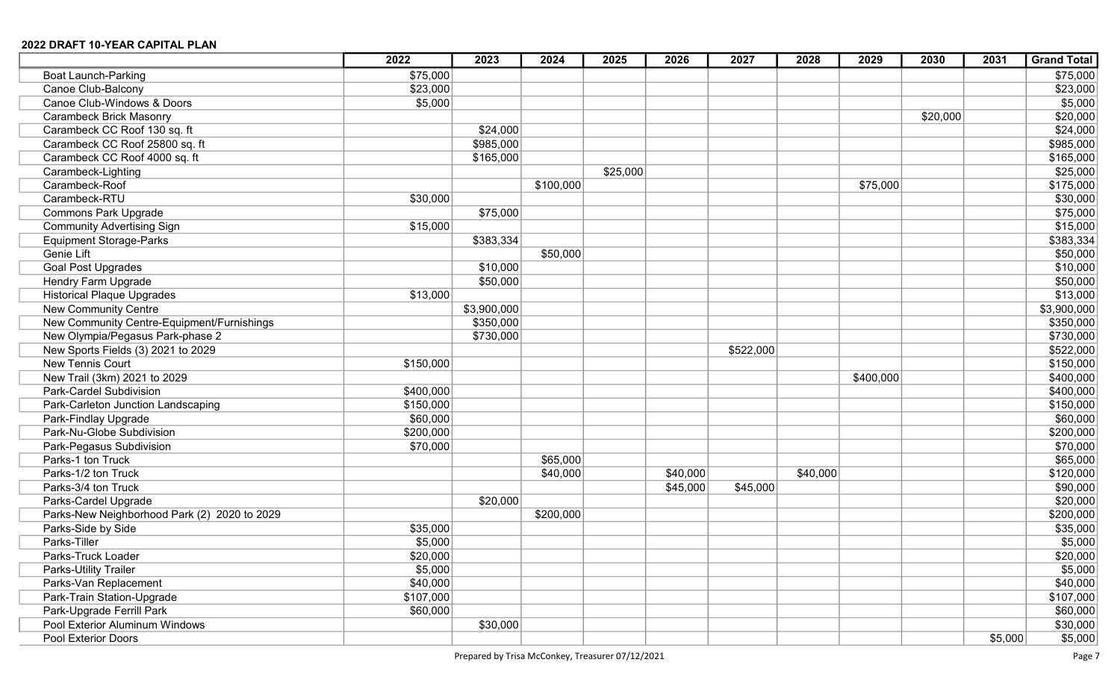|                                              | 2022      | 2023        | 2024      | 2025     | 2026     | 2027      | 2028     | 2029      | 2030     | 2031    | <b>Grand Total</b> |
|----------------------------------------------|-----------|-------------|-----------|----------|----------|-----------|----------|-----------|----------|---------|--------------------|
| <b>Boat Launch-Parking</b>                   | \$75,000  |             |           |          |          |           |          |           |          |         | \$75,000           |
| Canoe Club-Balcony                           | \$23,000  |             |           |          |          |           |          |           |          |         | \$23,000           |
| Canoe Club-Windows & Doors                   | \$5,000   |             |           |          |          |           |          |           |          |         | \$5,000            |
| <b>Carambeck Brick Masonry</b>               |           |             |           |          |          |           |          |           | \$20,000 |         | \$20,000           |
| Carambeck CC Roof 130 sq. ft                 |           | \$24,000    |           |          |          |           |          |           |          |         | \$24,000           |
| Carambeck CC Roof 25800 sq. ft               |           | \$985,000   |           |          |          |           |          |           |          |         | \$985,000          |
| Carambeck CC Roof 4000 sq. ft                |           | \$165,000   |           |          |          |           |          |           |          |         | \$165,000          |
| Carambeck-Lighting                           |           |             |           | \$25,000 |          |           |          |           |          |         | \$25,000           |
| Carambeck-Roof                               |           |             | \$100,000 |          |          |           |          | \$75,000  |          |         | \$175,000          |
| Carambeck-RTU                                | \$30,000  |             |           |          |          |           |          |           |          |         | \$30,000           |
| <b>Commons Park Upgrade</b>                  |           | \$75,000    |           |          |          |           |          |           |          |         | \$75,000           |
| <b>Community Advertising Sign</b>            | \$15,000  |             |           |          |          |           |          |           |          |         | \$15,000           |
| <b>Equipment Storage-Parks</b>               |           | \$383,334   |           |          |          |           |          |           |          |         | \$383,334          |
| Genie Lift                                   |           |             | \$50,000  |          |          |           |          |           |          |         | \$50,000           |
| <b>Goal Post Upgrades</b>                    |           | \$10,000    |           |          |          |           |          |           |          |         | \$10,000           |
| Hendry Farm Upgrade                          |           | \$50,000    |           |          |          |           |          |           |          |         | \$50,000           |
| <b>Historical Plaque Upgrades</b>            | \$13,000  |             |           |          |          |           |          |           |          |         | \$13,000           |
| <b>New Community Centre</b>                  |           | \$3,900,000 |           |          |          |           |          |           |          |         | \$3,900,000        |
| New Community Centre-Equipment/Furnishings   |           | \$350,000   |           |          |          |           |          |           |          |         | \$350,000          |
| New Olympia/Pegasus Park-phase 2             |           | \$730,000   |           |          |          |           |          |           |          |         | \$730,000          |
| New Sports Fields (3) 2021 to 2029           |           |             |           |          |          | \$522,000 |          |           |          |         | \$522,000          |
| New Tennis Court                             | \$150,000 |             |           |          |          |           |          |           |          |         | \$150,000          |
| New Trail (3km) 2021 to 2029                 |           |             |           |          |          |           |          | \$400,000 |          |         | \$400,000          |
| Park-Cardel Subdivision                      | \$400,000 |             |           |          |          |           |          |           |          |         | \$400,000          |
| Park-Carleton Junction Landscaping           | \$150,000 |             |           |          |          |           |          |           |          |         | \$150,000          |
| Park-Findlay Upgrade                         | \$60,000  |             |           |          |          |           |          |           |          |         | \$60,000           |
| Park-Nu-Globe Subdivision                    | \$200,000 |             |           |          |          |           |          |           |          |         | \$200,000          |
| Park-Pegasus Subdivision                     | \$70,000  |             |           |          |          |           |          |           |          |         | \$70,000           |
| Parks-1 ton Truck                            |           |             | \$65,000  |          |          |           |          |           |          |         | \$65,000           |
| Parks-1/2 ton Truck                          |           |             | \$40,000  |          | \$40,000 |           | \$40,000 |           |          |         | \$120,000          |
| Parks-3/4 ton Truck                          |           |             |           |          | \$45,000 | \$45,000  |          |           |          |         | \$90,000           |
| Parks-Cardel Upgrade                         |           | \$20,000    |           |          |          |           |          |           |          |         | \$20,000           |
| Parks-New Neighborhood Park (2) 2020 to 2029 |           |             | \$200,000 |          |          |           |          |           |          |         | \$200,000          |
| Parks-Side by Side                           | \$35,000  |             |           |          |          |           |          |           |          |         | \$35,000           |
| Parks-Tiller                                 | \$5,000   |             |           |          |          |           |          |           |          |         | \$5,000            |
| Parks-Truck Loader                           | \$20,000  |             |           |          |          |           |          |           |          |         | \$20,000           |
| Parks-Utility Trailer                        | \$5,000   |             |           |          |          |           |          |           |          |         | \$5,000            |
| Parks-Van Replacement                        | \$40,000  |             |           |          |          |           |          |           |          |         | \$40,000           |
| Park-Train Station-Upgrade                   | \$107,000 |             |           |          |          |           |          |           |          |         | \$107,000          |
| Park-Upgrade Ferrill Park                    | \$60,000  |             |           |          |          |           |          |           |          |         | \$60,000           |
| Pool Exterior Aluminum Windows               |           | \$30,000    |           |          |          |           |          |           |          |         | \$30,000           |
| Pool Exterior Doors                          |           |             |           |          |          |           |          |           |          | \$5,000 | \$5,000            |